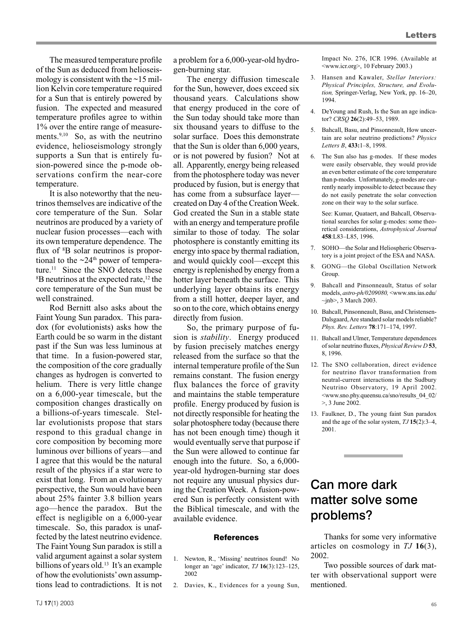The measured temperature profile of the Sun as deduced from helioseismology is consistent with the  $\sim$ 15 million Kelvin core temperature required for a Sun that is entirely powered by fusion. The expected and measured temperature profiles agree to within 1% over the entire range of measurements.<sup>9,10</sup> So, as with the neutrino evidence, helioseismology strongly supports a Sun that is entirely fusion-powered since the p-mode observations confirm the near-core temperature.

It is also noteworthy that the neutrinos themselves are indicative of the core temperature of the Sun. Solar neutrinos are produced by a variety of nuclear fusion processes—each with its own temperature dependence. The flux of <sup>8</sup>B solar neutrinos is proportional to the  $\sim$ 24<sup>th</sup> power of temperature.<sup>11</sup> Since the SNO detects these B neutrinos at the expected rate, <sup>12</sup> the core temperature of the Sun must be well constrained.

Rod Bernitt also asks about the Faint Young Sun paradox. This paradox (for evolutionists) asks how the Earth could be so warm in the distant past if the Sun was less luminous at that time. In a fusion-powered star, the composition of the core gradually changes as hydrogen is converted to helium. There is very little change on a 6,000-year timescale, but the composition changes drastically on a billions-of-years timescale. Stellar evolutionists propose that stars respond to this gradual change in core composition by becoming more luminous over billions of years—and I agree that this would be the natural result of the physics if a star were to exist that long. From an evolutionary perspective, the Sun would have been about 25% fainter 3.8 billion years ago—hence the paradox. But the effect is negligible on a 6,000-year timescale. So, this paradox is unaffected by the latest neutrino evidence. The Faint Young Sun paradox is still a valid argument against a solar system billions of years old.<sup>13</sup> It's an example of how the evolutionists'own assumptions lead to contradictions. It is not

a problem for a 6,000-year-old hydrogen-burning star.

The energy diffusion timescale for the Sun, however, does exceed six thousand years. Calculations show that energy produced in the core of the Sun today should take more than six thousand years to diffuse to the solar surface. Does this demonstrate that the Sun is older than 6,000 years, or is not powered by fusion? Not at all. Apparently, energy being released from the photosphere today was never produced by fusion, but is energy that has come from a subsurface layer created on Day 4 of the Creation Week. God created the Sun in a stable state with an energy and temperature profile similar to those of today. The solar photosphere is constantly emitting its energy into space by thermal radiation, and would quickly cool—except this energy is replenished by energy from a hotter layer beneath the surface. This underlying layer obtains its energy from a still hotter, deeper layer, and so on to the core, which obtains energy directly from fusion.

So, the primary purpose of fusion is *stability*. Energy produced by fusion precisely matches energy released from the surface so that the internal temperature profile of the Sun remains constant. The fusion energy flux balances the force of gravity and maintains the stable temperature profile. Energy produced by fusion is not directly responsible for heating the solar photosphere today (because there has not been enough time) though it would eventually serve that purpose if the Sun were allowed to continue far enough into the future. So, a 6,000 year-old hydrogen-burning star does not require any unusual physics during the Creation Week. A fusion-powered Sun is perfectly consistent with the Biblical timescale, and with the available evidence.

## **References**

- 1. Newton, R., 'Missing' neutrinos found! No longer an 'age' indicator, *TJ* **16**(3):123–125, 2002
- 2. Davies, K., Evidences for a young Sun,

Impact No. 276, ICR 1996. (Available at <www.icr.org>, 10 February 2003.)

- 3. Hansen and Kawaler, *Stellar Interiors: Physical Principles, Structure, and Evolution,* Springer-Verlag, New York, pp. 16–20, 1994.
- 4. DeYoung and Rush, Is the Sun an age indicator? *CRSQ* **26**(2):49–53, 1989.
- 5. Bahcall, Basu, and Pinsonneault, How uncertain are solar neutrino predictions? *Physics Letters B*, **433:**1–8, 1998.
- 6. The Sun also has g-modes. If these modes were easily observable, they would provide an even better estimate of the core temperature than p-modes. Unfortunately, g-modes are currently nearly impossible to detect because they do not easily penetrate the solar convection zone on their way to the solar surface.

 See: Kumar, Quataert, and Bahcall, Observational searches for solar g-modes: some theoretical considerations, *Astrophysical Journal* **458**:L83–L85, 1996.

- 7. SOHO—the Solar and Heliospheric Observatory is a joint project of the ESA and NASA.
- 8. GONG—the Global Oscillation Network Group.
- 9. Bahcall and Pinsonneault, Status of solar models, *astro-ph/0209080,* <www.sns.ias.edu/  $\nu$ inb>, 3 March 2003.
- 10. Bahcall, Pinsonneault, Basu, and Christensen-Dalsgaard, Are standard solar models reliable? *Phys. Rev. Letters* **78**:171–174, 1997.
- 11. Bahcall and Ulmer, Temperature dependences of solar neutrino fluxes, *Physical Review D* 53, 8, 1996.
- 12. The SNO collaboration, direct evidence for neutrino flavor transformation from neutral-current interactions in the Sudbury Neutrino Observatory, 19 April 2002. <www.sno.phy.queensu.ca/sno/results\_04\_02/ >, 3 June 2002.
- 13. Faulkner, D., The young faint Sun paradox and the age of the solar system, *TJ* **15**(2):3–4, 2001.

## Can more dark matter solve some problems?

Thanks for some very informative articles on cosmology in *TJ* **16**(3), 2002.

Two possible sources of dark matter with observational support were mentioned.